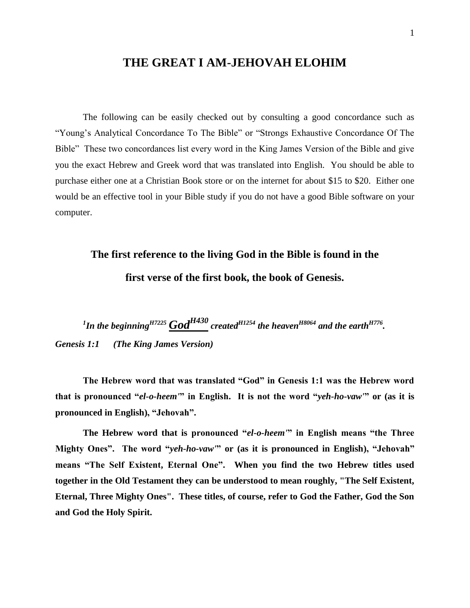#### **THE GREAT I AM-JEHOVAH ELOHIM**

The following can be easily checked out by consulting a good concordance such as "Young's Analytical Concordance To The Bible" or "Strongs Exhaustive Concordance Of The Bible" These two concordances list every word in the King James Version of the Bible and give you the exact Hebrew and Greek word that was translated into English. You should be able to purchase either one at a Christian Book store or on the internet for about \$15 to \$20. Either one would be an effective tool in your Bible study if you do not have a good Bible software on your computer.

# **The first reference to the living God in the Bible is found in the first verse of the first book, the book of Genesis.**

<sup>1</sup>In the beginning<sup>H7225</sup>  $God^{H430}$  created<sup>H1254</sup> the heaven<sup>H8064</sup> and the earth<sup>H776</sup>. *Genesis 1:1 (The King James Version)*

**The Hebrew word that was translated "God" in Genesis 1:1 was the Hebrew word that is pronounced "***el-o-heem'***" in English. It is not the word "***yeh-ho-vaw'***" or (as it is pronounced in English), "Jehovah".**

**The Hebrew word that is pronounced "***el-o-heem'***" in English means "the Three Mighty Ones". The word "***yeh-ho-vaw'***" or (as it is pronounced in English), "Jehovah" means "The Self Existent, Eternal One". When you find the two Hebrew titles used together in the Old Testament they can be understood to mean roughly, "The Self Existent, Eternal, Three Mighty Ones". These titles, of course, refer to God the Father, God the Son and God the Holy Spirit.**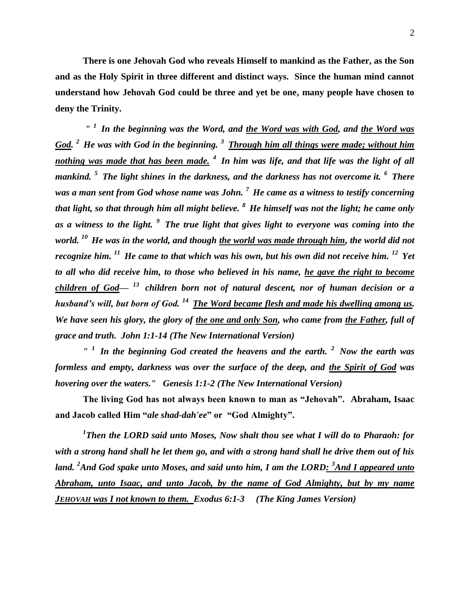2

**There is one Jehovah God who reveals Himself to mankind as the Father, as the Son and as the Holy Spirit in three different and distinct ways. Since the human mind cannot understand how Jehovah God could be three and yet be one, many people have chosen to deny the Trinity.** 

*" <sup>1</sup>In the beginning was the Word, and the Word was with God, and the Word was God. <sup>2</sup>He was with God in the beginning. <sup>3</sup>Through him all things were made; without him nothing was made that has been made. <sup>4</sup>In him was life, and that life was the light of all mankind. <sup>5</sup>The light shines in the darkness, and the darkness has not overcome it. <sup>6</sup>There was a man sent from God whose name was John. <sup>7</sup>He came as a witness to testify concerning that light, so that through him all might believe. <sup>8</sup>He himself was not the light; he came only as a witness to the light. <sup>9</sup>The true light that gives light to everyone was coming into the world. <sup>10</sup>He was in the world, and though the world was made through him, the world did not recognize him. <sup>11</sup>He came to that which was his own, but his own did not receive him. <sup>12</sup>Yet to all who did receive him, to those who believed in his name, he gave the right to become children of God— <sup>13</sup>children born not of natural descent, nor of human decision or a husband's will, but born of God. <sup>14</sup>The Word became flesh and made his dwelling among us. We have seen his glory, the glory of the one and only Son, who came from the Father, full of grace and truth. John 1:1-14 (The New International Version)*

*" <sup>1</sup>In the beginning God created the heavens and the earth. <sup>2</sup>Now the earth was formless and empty, darkness was over the surface of the deep, and the Spirit of God was hovering over the waters." Genesis 1:1-2 (The New International Version)*

**The living God has not always been known to man as "Jehovah". Abraham, Isaac and Jacob called Him "***ale shad-dah'ee***" or "God Almighty".**

<sup>1</sup>Then the LORD said unto Moses, Now shalt thou see what I will do to Pharaoh: for *with a strong hand shall he let them go, and with a strong hand shall he drive them out of his land. <sup>2</sup>And God spake unto Moses, and said unto him, I am the LORD: <sup>3</sup>And I appeared unto Abraham, unto Isaac, and unto Jacob, by the name of God Almighty, but by my name JEHOVAH was I not known to them. Exodus 6:1-3 (The King James Version)*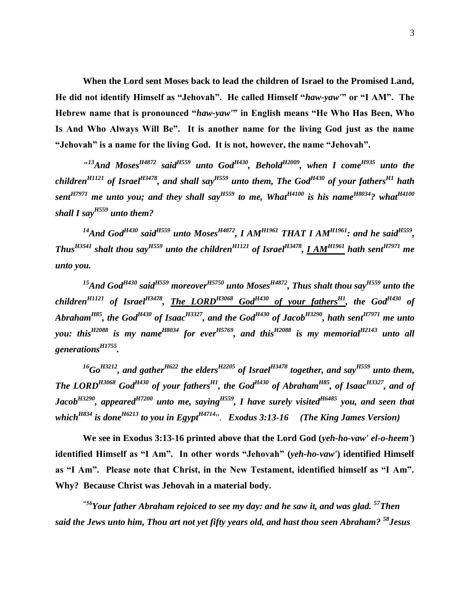**When the Lord sent Moses back to lead the children of Israel to the Promised Land, He did not identify Himself as "Jehovah". He called Himself "***haw-yaw'***" or "I AM". The Hebrew name that is pronounced "***haw-yaw'***" in English means "He Who Has Been, Who Is And Who Always Will Be". It is another name for the living God just as the name "Jehovah" is a name for the living God. It is not, however, the name "Jehovah".**

*" <sup>13</sup>And MosesH4872 saidH559 unto GodH430, BeholdH2009, when I comeH935 unto the childrenH1121 of IsraelH3478, and shall sayH559 unto them, The GodH430 of your fathersH1 hath sentH7971 me unto you; and they shall sayH559 to me, WhatH4100 is his nameH8034? whatH4100 shall I sayH559 unto them?*

*<sup>14</sup>And GodH430 saidH559 unto MosesH4872, I AMH1961 THAT I AM H1961: and he saidH559 , ThusH3541 shalt thou sayH559 unto the childrenH1121 of IsraelH3478 , I AMH1961 hath sentH7971 me unto you.*

*<sup>15</sup>And GodH430 saidH559 moreoverH5750 unto MosesH4872, Thus shalt thou sayH559 unto the childrenH1121 of IsraelH3478 , The LORDH3068 GodH430 of your fathersH1, the GodH430 of AbrahamH85, the GodH430 of IsaacH3327, and the GodH430 of JacobH3290, hath sentH7971 me unto you: thisH2088 is my nameH8034 for everH5769, and thisH2088 is my memorialH2143 unto all generationsH1755 .*

 $^{16}$ *Go*<sup>*H3212*</sup>, and gather<sup>*H622*</sup> the elders</sub><sup>*H2205*</sup> of Israel<sup>*H3478*</sup> together, and say<sup>*H559*</sup> unto them, *The LORDH3068 GodH430 of your fathersH1, the GodH430 of AbrahamH85, of IsaacH3327, and of JacobH3290, appearedH7200 unto me, sayingH559, I have surely visitedH6485 you, and seen that whichH834 is doneH6213 to you in EgyptH4714*". *Exodus 3:13-16 (The King James Version)*

**We see in Exodus 3:13-16 printed above that the Lord God (***yeh-ho-vaw' el-o-heem'***) identified Himself as "I Am". In other words "Jehovah" (***yeh-ho-vaw'***) identified Himself as "I Am". Please note that Christ, in the New Testament, identified himself as "I Am". Why? Because Christ was Jehovah in a material body.** 

*"56Your father Abraham rejoiced to see my day: and he saw it, and was glad. <sup>57</sup>Then said the Jews unto him, Thou art not yet fifty years old, and hast thou seen Abraham? <sup>58</sup>Jesus*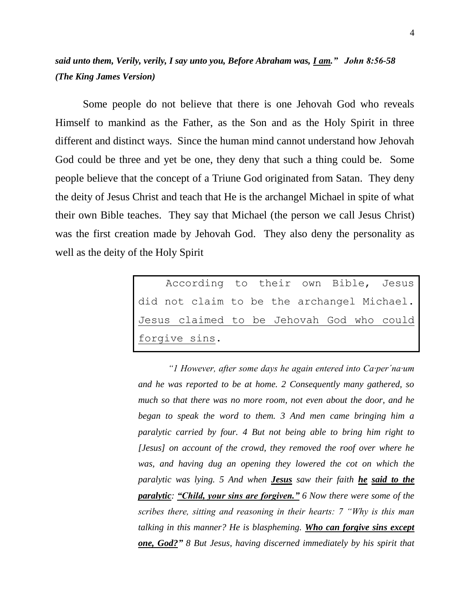#### *said unto them, Verily, verily, I say unto you, Before Abraham was, I am." John 8:56-58 (The King James Version)*

Some people do not believe that there is one Jehovah God who reveals Himself to mankind as the Father, as the Son and as the Holy Spirit in three different and distinct ways. Since the human mind cannot understand how Jehovah God could be three and yet be one, they deny that such a thing could be. Some people believe that the concept of a Triune God originated from Satan. They deny the deity of Jesus Christ and teach that He is the archangel Michael in spite of what their own Bible teaches. They say that Michael (the person we call Jesus Christ) was the first creation made by Jehovah God. They also deny the personality as well as the deity of the Holy Spirit

|               |  |  |  |  |  |  |  |  | According to their own Bible, Jesus        |
|---------------|--|--|--|--|--|--|--|--|--------------------------------------------|
|               |  |  |  |  |  |  |  |  | did not claim to be the archangel Michael. |
|               |  |  |  |  |  |  |  |  | Jesus claimed to be Jehovah God who could  |
| forgive sins. |  |  |  |  |  |  |  |  |                                            |

*"1 However, after some days he again entered into Ca·per´na·um and he was reported to be at home. 2 Consequently many gathered, so much so that there was no more room, not even about the door, and he began to speak the word to them. 3 And men came bringing him a paralytic carried by four. 4 But not being able to bring him right to [Jesus] on account of the crowd, they removed the roof over where he was, and having dug an opening they lowered the cot on which the paralytic was lying. 5 And when Jesus saw their faith he said to the paralytic: "Child, your sins are forgiven." 6 Now there were some of the scribes there, sitting and reasoning in their hearts: 7 "Why is this man talking in this manner? He is blaspheming. Who can forgive sins except one, God?" 8 But Jesus, having discerned immediately by his spirit that*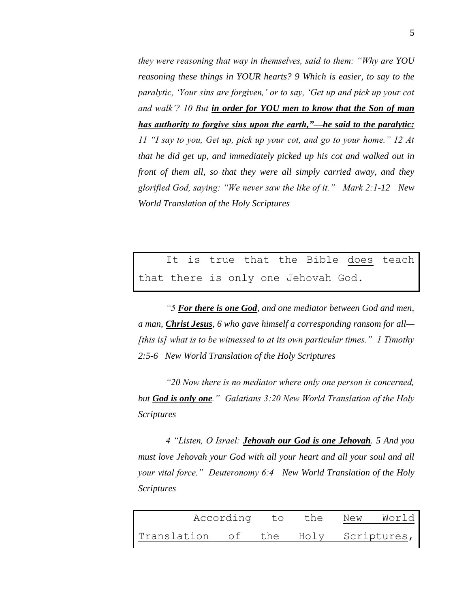*they were reasoning that way in themselves, said to them: "Why are YOU reasoning these things in YOUR hearts? 9 Which is easier, to say to the paralytic, 'Your sins are forgiven,' or to say, 'Get up and pick up your cot and walk'? 10 But in order for YOU men to know that the Son of man has authority to forgive sins upon the earth,"—he said to the paralytic: 11 "I say to you, Get up, pick up your cot, and go to your home." 12 At that he did get up, and immediately picked up his cot and walked out in front of them all, so that they were all simply carried away, and they glorified God, saying: "We never saw the like of it." Mark 2:1-12 New World Translation of the Holy Scriptures*

It is true that the Bible does teach that there is only one Jehovah God.

*"5 For there is one God, and one mediator between God and men, a man, Christ Jesus, 6 who gave himself a corresponding ransom for all— [this is] what is to be witnessed to at its own particular times." 1 Timothy 2:5-6 New World Translation of the Holy Scriptures*

*"20 Now there is no mediator where only one person is concerned, but God is only one." Galatians 3:20 New World Translation of the Holy Scriptures* 

*4 "Listen, O Israel: Jehovah our God is one Jehovah. 5 And you must love Jehovah your God with all your heart and all your soul and all your vital force." Deuteronomy 6:4 New World Translation of the Holy Scriptures* 

|                                     | According to the New | World |  |
|-------------------------------------|----------------------|-------|--|
| Translation of the Holy Scriptures, |                      |       |  |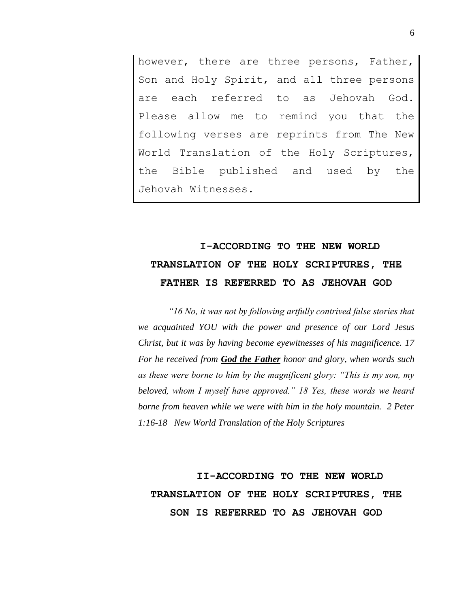however, there are three persons, Father, Son and Holy Spirit, and all three persons are each referred to as Jehovah God. Please allow me to remind you that the following verses are reprints from The New World Translation of the Holy Scriptures, the Bible published and used by the Jehovah Witnesses.

## **I-ACCORDING TO THE NEW WORLD TRANSLATION OF THE HOLY SCRIPTURES, THE FATHER IS REFERRED TO AS JEHOVAH GOD**

*"16 No, it was not by following artfully contrived false stories that we acquainted YOU with the power and presence of our Lord Jesus Christ, but it was by having become eyewitnesses of his magnificence. 17 For he received from God the Father honor and glory, when words such as these were borne to him by the magnificent glory: "This is my son, my beloved, whom I myself have approved." 18 Yes, these words we heard borne from heaven while we were with him in the holy mountain. 2 Peter 1:16-18 New World Translation of the Holy Scriptures*

**II-ACCORDING TO THE NEW WORLD TRANSLATION OF THE HOLY SCRIPTURES, THE SON IS REFERRED TO AS JEHOVAH GOD**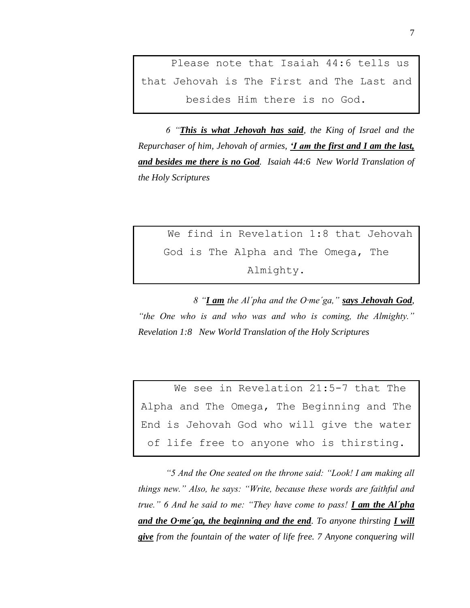Please note that Isaiah 44:6 tells us that Jehovah is The First and The Last and besides Him there is no God.

*6 "This is what Jehovah has said, the King of Israel and the Repurchaser of him, Jehovah of armies, 'I am the first and I am the last, and besides me there is no God. Isaiah 44:6 New World Translation of the Holy Scriptures*

We find in Revelation 1:8 that Jehovah God is The Alpha and The Omega, The Almighty.

*8 "I am the Al´pha and the O·me´ga," says Jehovah God, "the One who is and who was and who is coming, the Almighty." Revelation 1:8 New World Translation of the Holy Scriptures*

We see in Revelation 21:5-7 that The Alpha and The Omega, The Beginning and The End is Jehovah God who will give the water of life free to anyone who is thirsting.

*"5 And the One seated on the throne said: "Look! I am making all things new." Also, he says: "Write, because these words are faithful and true." 6 And he said to me: "They have come to pass! I am the Al´pha and the O·me´ga, the beginning and the end. To anyone thirsting I will give from the fountain of the water of life free. 7 Anyone conquering will*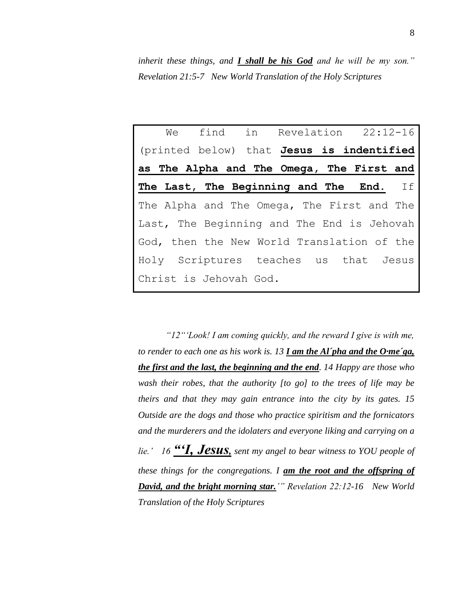*inherit these things, and I shall be his God and he will be my son." Revelation 21:5-7 New World Translation of the Holy Scriptures*

|                                            | We find in Revelation 22:12-16 |  |  |  |
|--------------------------------------------|--------------------------------|--|--|--|
| (printed below) that Jesus is indentified  |                                |  |  |  |
| as The Alpha and The Omega, The First and  |                                |  |  |  |
| The Last, The Beginning and The End. If    |                                |  |  |  |
| The Alpha and The Omega, The First and The |                                |  |  |  |
| Last, The Beginning and The End is Jehovah |                                |  |  |  |
| God, then the New World Translation of the |                                |  |  |  |
| Holy Scriptures teaches us that Jesus      |                                |  |  |  |
| Christ is Jehovah God.                     |                                |  |  |  |

*"12"'Look! I am coming quickly, and the reward I give is with me, to render to each one as his work is. 13 I am the Al´pha and the O·me´ga, the first and the last, the beginning and the end. 14 Happy are those who wash their robes, that the authority [to go] to the trees of life may be theirs and that they may gain entrance into the city by its gates. 15 Outside are the dogs and those who practice spiritism and the fornicators and the murderers and the idolaters and everyone liking and carrying on a lie.' 16 "'I, Jesus, sent my angel to bear witness to YOU people of these things for the congregations. I am the root and the offspring of David, and the bright morning star.'" Revelation 22:12-16 New World Translation of the Holy Scriptures*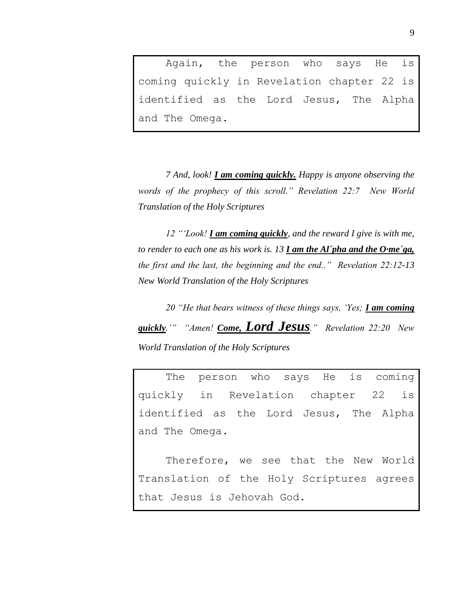Again, the person who says He is coming quickly in Revelation chapter 22 is identified as the Lord Jesus, The Alpha and The Omega.

*7 And, look! I am coming quickly. Happy is anyone observing the words of the prophecy of this scroll." Revelation 22:7 New World Translation of the Holy Scriptures*

*12 "'Look! I am coming quickly, and the reward I give is with me, to render to each one as his work is. 13 I am the Al´pha and the O·me´ga, the first and the last, the beginning and the end.." Revelation 22:12-13 New World Translation of the Holy Scriptures* 

*20 "He that bears witness of these things says, 'Yes; I am coming quickly.'" "Amen! Come, Lord Jesus." Revelation 22:20 New World Translation of the Holy Scriptures*

The person who says He is coming quickly in Revelation chapter 22 is identified as the Lord Jesus, The Alpha and The Omega.

Therefore, we see that the New World Translation of the Holy Scriptures agrees that Jesus is Jehovah God.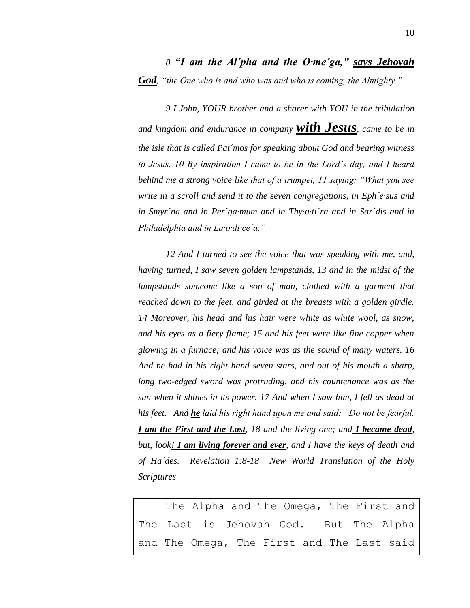*9 I John, YOUR brother and a sharer with YOU in the tribulation and kingdom and endurance in company with Jesus, came to be in the isle that is called Pat´mos for speaking about God and bearing witness to Jesus. 10 By inspiration I came to be in the Lord's day, and I heard behind me a strong voice like that of a trumpet, 11 saying: "What you see write in a scroll and send it to the seven congregations, in Eph´e·sus and in Smyr´na and in Per´ga·mum and in Thy·a·ti´ra and in Sar´dis and in Philadelphia and in La·o·di·ce´a."* 

*12 And I turned to see the voice that was speaking with me, and, having turned, I saw seven golden lampstands, 13 and in the midst of the lampstands someone like a son of man, clothed with a garment that reached down to the feet, and girded at the breasts with a golden girdle. 14 Moreover, his head and his hair were white as white wool, as snow, and his eyes as a fiery flame; 15 and his feet were like fine copper when glowing in a furnace; and his voice was as the sound of many waters. 16 And he had in his right hand seven stars, and out of his mouth a sharp, long two-edged sword was protruding, and his countenance was as the sun when it shines in its power. 17 And when I saw him, I fell as dead at his feet. And he laid his right hand upon me and said: "Do not be fearful. I am the First and the Last, 18 and the living one; and I became dead, but, look! I am living forever and ever, and I have the keys of death and of Ha´des. Revelation 1:8-18 New World Translation of the Holy Scriptures*

The Alpha and The Omega, The First and The Last is Jehovah God. But The Alpha and The Omega, The First and The Last said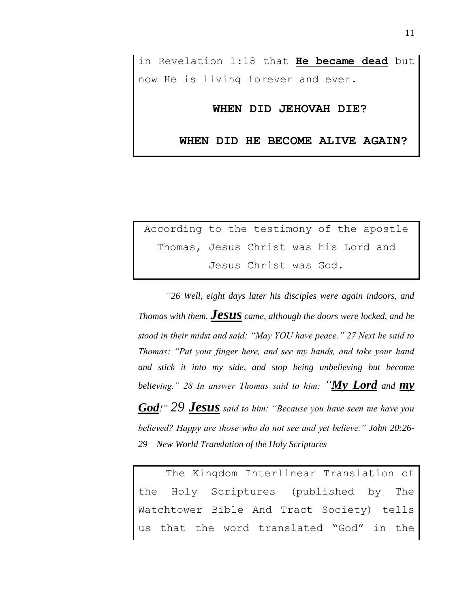in Revelation 1:18 that **He became dead** but now He is living forever and ever.

#### **WHEN DID JEHOVAH DIE?**

**WHEN DID HE BECOME ALIVE AGAIN?**

According to the testimony of the apostle Thomas, Jesus Christ was his Lord and Jesus Christ was God.

*"26 Well, eight days later his disciples were again indoors, and Thomas with them. Jesus came, although the doors were locked, and he stood in their midst and said: "May YOU have peace." 27 Next he said to Thomas: "Put your finger here, and see my hands, and take your hand and stick it into my side, and stop being unbelieving but become believing." 28 In answer Thomas said to him: "My Lord and my* 

*God!" 29 Jesus said to him: "Because you have seen me have you believed? Happy are those who do not see and yet believe." John 20:26- 29 New World Translation of the Holy Scriptures*

The Kingdom Interlinear Translation of the Holy Scriptures (published by The Watchtower Bible And Tract Society) tells that the word translated "God" in the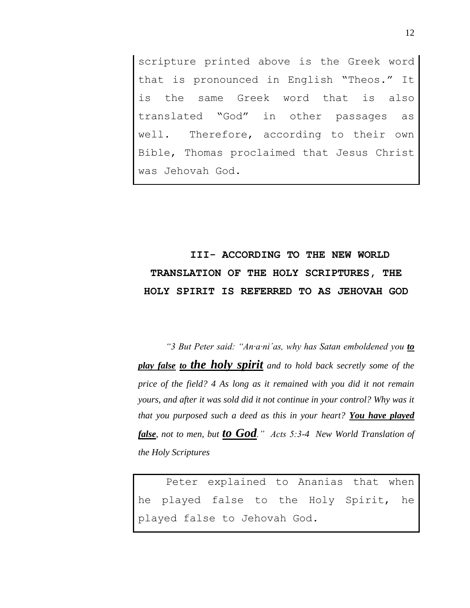scripture printed above is the Greek word that is pronounced in English "Theos." It is the same Greek word that is also translated "God" in other passages as well. Therefore, according to their own Bible, Thomas proclaimed that Jesus Christ was Jehovah God.

## **III- ACCORDING TO THE NEW WORLD TRANSLATION OF THE HOLY SCRIPTURES, THE HOLY SPIRIT IS REFERRED TO AS JEHOVAH GOD**

*"3 But Peter said: "An·a·ni´as, why has Satan emboldened you to play false to the holy spirit and to hold back secretly some of the price of the field? 4 As long as it remained with you did it not remain yours, and after it was sold did it not continue in your control? Why was it that you purposed such a deed as this in your heart? You have played false, not to men, but to God." Acts 5:3-4 New World Translation of the Holy Scriptures*

Peter explained to Ananias that when he played false to the Holy Spirit, he played false to Jehovah God.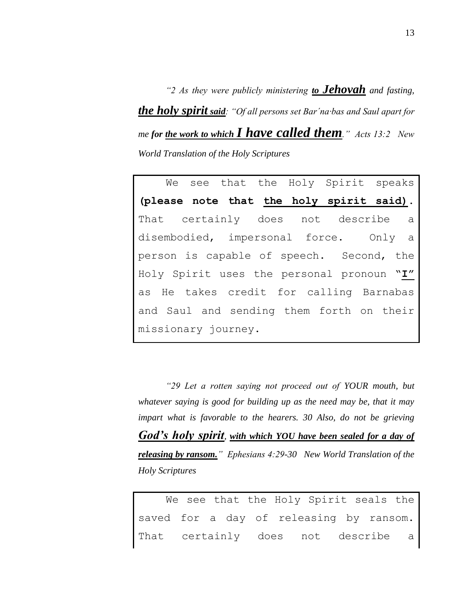*"2 As they were publicly ministering to Jehovah and fasting, the holy spirit said: "Of all persons set Bar´na·bas and Saul apart for me for the work to which I have called them." Acts 13:2 New World Translation of the Holy Scriptures*

We see that the Holy Spirit speaks **(please note that the holy spirit said).** That certainly does not describe a disembodied, impersonal force. Only a person is capable of speech. Second, the Holy Spirit uses the personal pronoun "**I"** as He takes credit for calling Barnabas and Saul and sending them forth on their missionary journey.

*"29 Let a rotten saying not proceed out of YOUR mouth, but whatever saying is good for building up as the need may be, that it may impart what is favorable to the hearers. 30 Also, do not be grieving God's holy spirit, with which YOU have been sealed for a day of releasing by ransom." Ephesians 4:29-30 New World Translation of the Holy Scriptures*

We see that the Holy Spirit seals the saved for a day of releasing by ransom. That certainly does not describe a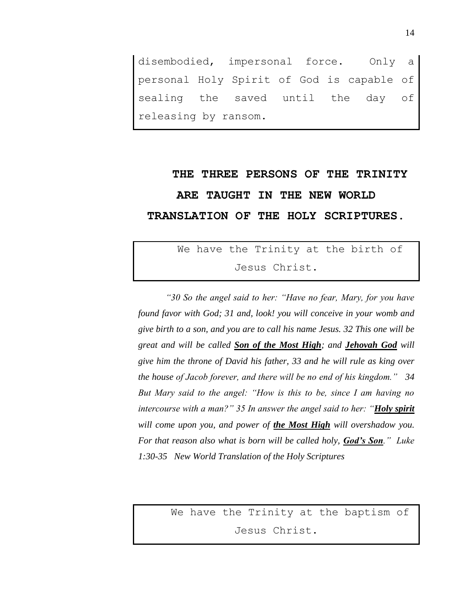disembodied, impersonal force. Only a personal Holy Spirit of God is capable of sealing the saved until the day of releasing by ransom.

# **THE THREE PERSONS OF THE TRINITY ARE TAUGHT IN THE NEW WORLD TRANSLATION OF THE HOLY SCRIPTURES.**

### We have the Trinity at the birth of Jesus Christ.

*"30 So the angel said to her: "Have no fear, Mary, for you have found favor with God; 31 and, look! you will conceive in your womb and give birth to a son, and you are to call his name Jesus. 32 This one will be great and will be called Son of the Most High; and Jehovah God will give him the throne of David his father, 33 and he will rule as king over the house of Jacob forever, and there will be no end of his kingdom." 34 But Mary said to the angel: "How is this to be, since I am having no intercourse with a man?" 35 In answer the angel said to her: "Holy spirit will come upon you, and power of the Most High will overshadow you. For that reason also what is born will be called holy, God's Son." Luke 1:30-35 New World Translation of the Holy Scriptures*

> We have the Trinity at the baptism of Jesus Christ.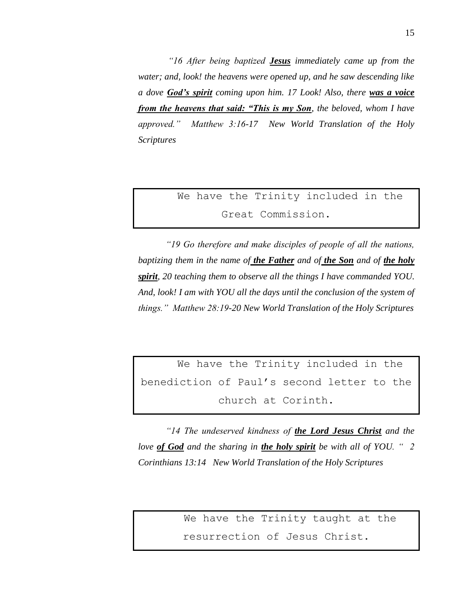*"16 After being baptized Jesus immediately came up from the water; and, look! the heavens were opened up, and he saw descending like a dove God's spirit coming upon him. 17 Look! Also, there was a voice from the heavens that said: "This is my Son, the beloved, whom I have approved." Matthew 3:16-17 New World Translation of the Holy Scriptures*

We have the Trinity included in the Great Commission.

*"19 Go therefore and make disciples of people of all the nations, baptizing them in the name of the Father and of the Son and of the holy spirit, 20 teaching them to observe all the things I have commanded YOU. And, look! I am with YOU all the days until the conclusion of the system of things." Matthew 28:19-20 New World Translation of the Holy Scriptures*

We have the Trinity included in the benediction of Paul's second letter to the church at Corinth.

*"14 The undeserved kindness of the Lord Jesus Christ and the love of God and the sharing in the holy spirit be with all of YOU. " 2 Corinthians 13:14 New World Translation of the Holy Scriptures*

> We have the Trinity taught at the resurrection of Jesus Christ.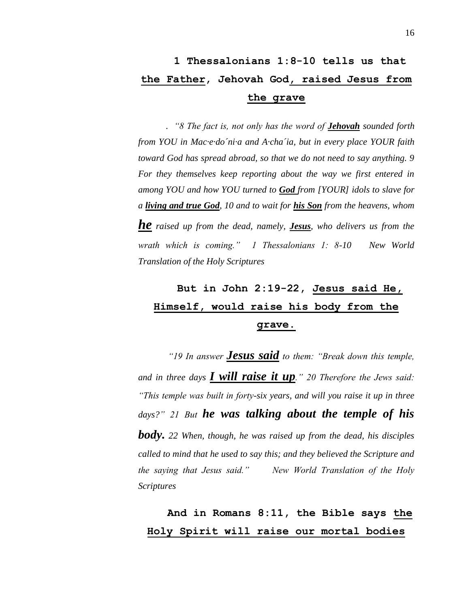. *"8 The fact is, not only has the word of Jehovah sounded forth from YOU in Mac·e·do´ni·a and A·cha´ia, but in every place YOUR faith toward God has spread abroad, so that we do not need to say anything. 9 For they themselves keep reporting about the way we first entered in among YOU and how YOU turned to God from [YOUR] idols to slave for a living and true God, 10 and to wait for his Son from the heavens, whom he raised up from the dead, namely, Jesus, who delivers us from the wrath which is coming." 1 Thessalonians 1: 8-10 New World Translation of the Holy Scriptures*

## **But in John 2:19-22, Jesus said He, Himself, would raise his body from the grave.**

*"19 In answer Jesus said to them: "Break down this temple, and in three days I will raise it up." 20 Therefore the Jews said: "This temple was built in forty-six years, and will you raise it up in three days?" 21 But he was talking about the temple of his body. 22 When, though, he was raised up from the dead, his disciples called to mind that he used to say this; and they believed the Scripture and the saying that Jesus said." New World Translation of the Holy Scriptures*

### **And in Romans 8:11, the Bible says the Holy Spirit will raise our mortal bodies**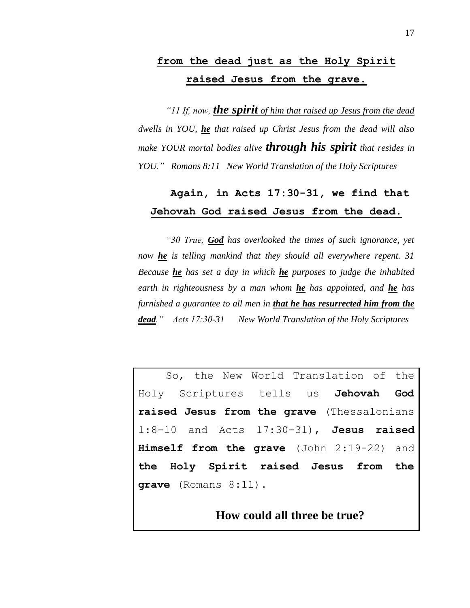### **from the dead just as the Holy Spirit raised Jesus from the grave.**

*"11 If, now, the spirit of him that raised up Jesus from the dead dwells in YOU, he that raised up Christ Jesus from the dead will also make YOUR mortal bodies alive through his spirit that resides in YOU." Romans 8:11 New World Translation of the Holy Scriptures*

#### **Again, in Acts 17:30-31, we find that Jehovah God raised Jesus from the dead.**

*"30 True, God has overlooked the times of such ignorance, yet now he is telling mankind that they should all everywhere repent. 31 Because he has set a day in which he purposes to judge the inhabited earth in righteousness by a man whom he has appointed, and he has furnished a guarantee to all men in that he has resurrected him from the dead." Acts 17:30-31 New World Translation of the Holy Scriptures*

So, the New World Translation of the Holy Scriptures tells us **Jehovah God raised Jesus from the grave** (Thessalonians 1:8-10 and Acts 17:30-31), **Jesus raised Himself from the grave** (John 2:19-22) and **the Holy Spirit raised Jesus from the grave** (Romans 8:11).

#### **How could all three be true?**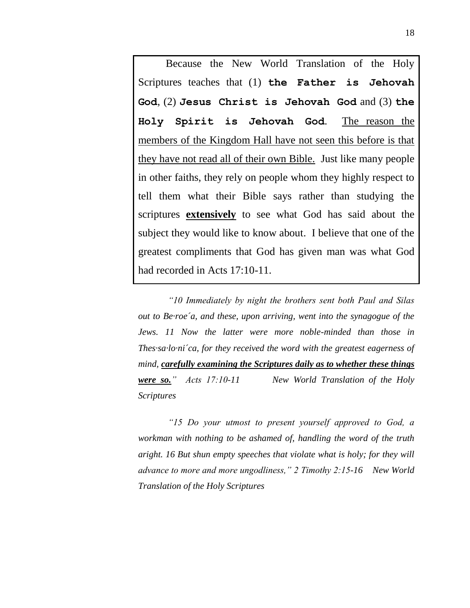Because the New World Translation of the Holy Scriptures teaches that (1) **the Father is Jehovah God**, (2) **Jesus Christ is Jehovah God** and (3) **the Holy Spirit is Jehovah God**. The reason the members of the Kingdom Hall have not seen this before is that they have not read all of their own Bible. Just like many people in other faiths, they rely on people whom they highly respect to tell them what their Bible says rather than studying the scriptures **extensively** to see what God has said about the subject they would like to know about. I believe that one of the greatest compliments that God has given man was what God had recorded in Acts 17:10-11.

*"10 Immediately by night the brothers sent both Paul and Silas out to Be·roe´a, and these, upon arriving, went into the synagogue of the Jews. 11 Now the latter were more noble-minded than those in Thes·sa·lo·ni´ca, for they received the word with the greatest eagerness of mind, carefully examining the Scriptures daily as to whether these things were so." Acts 17:10-11 New World Translation of the Holy Scriptures*

*"15 Do your utmost to present yourself approved to God, a workman with nothing to be ashamed of, handling the word of the truth aright. 16 But shun empty speeches that violate what is holy; for they will advance to more and more ungodliness," 2 Timothy 2:15-16 New World Translation of the Holy Scriptures*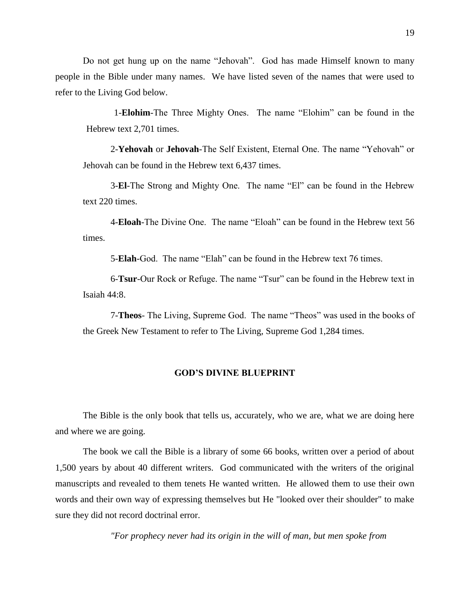Do not get hung up on the name "Jehovah". God has made Himself known to many people in the Bible under many names. We have listed seven of the names that were used to refer to the Living God below.

1-**Elohim**-The Three Mighty Ones. The name "Elohim" can be found in the Hebrew text 2,701 times.

2-**Yehovah** or **Jehovah**-The Self Existent, Eternal One. The name "Yehovah" or Jehovah can be found in the Hebrew text 6,437 times.

3-**El**-The Strong and Mighty One. The name "El" can be found in the Hebrew text 220 times.

4-**Eloah**-The Divine One. The name "Eloah" can be found in the Hebrew text 56 times.

5-**Elah**-God. The name "Elah" can be found in the Hebrew text 76 times.

6-**Tsur**-Our Rock or Refuge. The name "Tsur" can be found in the Hebrew text in Isaiah 44:8.

7-**Theos**- The Living, Supreme God. The name "Theos" was used in the books of the Greek New Testament to refer to The Living, Supreme God 1,284 times.

#### **GOD'S DIVINE BLUEPRINT**

The Bible is the only book that tells us, accurately, who we are, what we are doing here and where we are going.

The book we call the Bible is a library of some 66 books, written over a period of about 1,500 years by about 40 different writers. God communicated with the writers of the original manuscripts and revealed to them tenets He wanted written. He allowed them to use their own words and their own way of expressing themselves but He "looked over their shoulder" to make sure they did not record doctrinal error.

*"For prophecy never had its origin in the will of man, but men spoke from*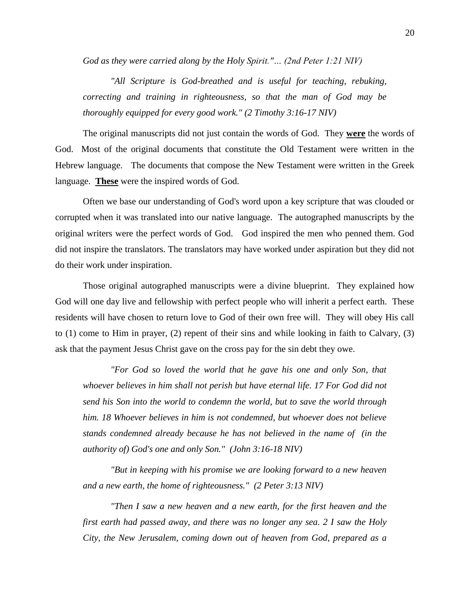*God as they were carried along by the Holy Spirit."… (2nd Peter 1:21 NIV)* 

*"All Scripture is God-breathed and is useful for teaching, rebuking, correcting and training in righteousness, so that the man of God may be thoroughly equipped for every good work." (2 Timothy 3:16-17 NIV)*

The original manuscripts did not just contain the words of God. They **were** the words of God. Most of the original documents that constitute the Old Testament were written in the Hebrew language. The documents that compose the New Testament were written in the Greek language. **These** were the inspired words of God.

Often we base our understanding of God's word upon a key scripture that was clouded or corrupted when it was translated into our native language. The autographed manuscripts by the original writers were the perfect words of God. God inspired the men who penned them. God did not inspire the translators. The translators may have worked under aspiration but they did not do their work under inspiration.

Those original autographed manuscripts were a divine blueprint. They explained how God will one day live and fellowship with perfect people who will inherit a perfect earth. These residents will have chosen to return love to God of their own free will. They will obey His call to (1) come to Him in prayer, (2) repent of their sins and while looking in faith to Calvary, (3) ask that the payment Jesus Christ gave on the cross pay for the sin debt they owe.

*"For God so loved the world that he gave his one and only Son, that whoever believes in him shall not perish but have eternal life. 17 For God did not send his Son into the world to condemn the world, but to save the world through him. 18 Whoever believes in him is not condemned, but whoever does not believe stands condemned already because he has not believed in the name of (in the authority of) God's one and only Son." (John 3:16-18 NIV)* 

*"But in keeping with his promise we are looking forward to a new heaven and a new earth, the home of righteousness." (2 Peter 3:13 NIV)* 

*"Then I saw a new heaven and a new earth, for the first heaven and the first earth had passed away, and there was no longer any sea. 2 I saw the Holy City, the New Jerusalem, coming down out of heaven from God, prepared as a*